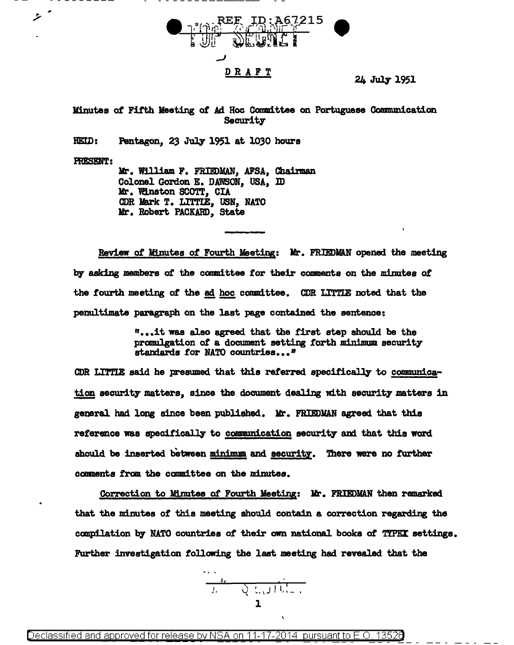

24 July 1951

Minutes *ot* Fifth Meeting *ot* Ad Hoc Committee on Portuguese Communication Security

 $HEID:$  Pentagon, 23 July 1951 at 1030 hours

PRESENT:

ستر

Mr. William F. FRIEDMAN, AFSA, Chairman Colonel Gordon E. DAWSON, USA, ID Mr. Winston SCOTT, CIA CDR Mark T. LITTIE, USN, NATO Mr. Robert PACKARD, State

Review *ot* Minutes *ot* Fourth Meeting: Mr. FRIEDJIAN opened the meeting by asking members of the committee for their comments on the minutes of the fourth meeting of the ad hoc committee. CDR LITTIE noted that the penultimate paragraph on the last page contained the sentence:

> " ••• it was also agreed that the first step should be the promulgation of a document setting forth minimum security standards for NATO countries..."

CDR LITTLE said he presumed that this referred specifically to communication security matters, since the document dealing with security matters in general had long since been published. Mr. FRIEDMAN agreed that this reference was specifically to communication security and that this word should be inserted between minimum and security. There were no further comments from the committee on the minutes.

Correction to Minutes *ot* Fourth Meeting: llr. FRIEDMAN then remarked that the minutes of this meeting should contain a correction regarding the compilation by NATO countries of their own national books of TYPEX settings. Further investigation following the last meeting had revealed that the

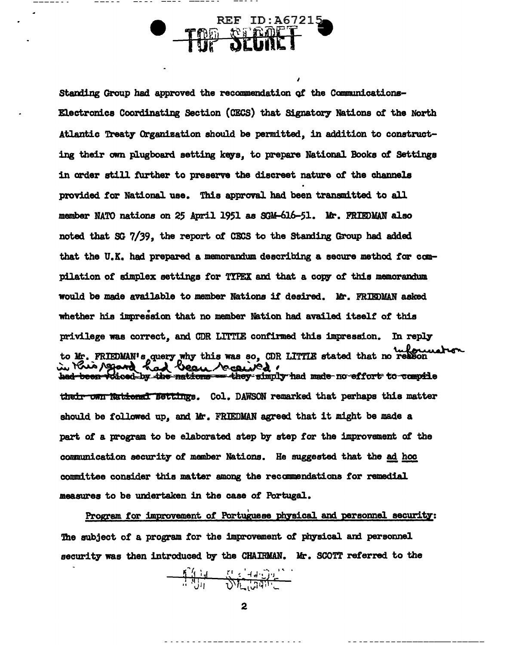Standing Group had approved the recommendation of the Communications-Electronics Coordinating Section (CECS) that Signatory Nations of the North Atlantic Treaty Organization should be permitted, in addition to constructing their own plugboard setting keys, to prepare National Books of Settings in order still further to preserve the discreet nature of the channels provided for National use. This approval had been transmitted to all member NATO nations on 25 April 1951 as SGM-616-51. Mr. FRIEDMAN also noted that SG 7/39, the report of CECS to the Standing Group had added that the U.K. had prepared a memorandum describing a secure method for compilation of simplex settings for TYPEX and that a copy of this memorandum would be made available to member Nations if desired. Mr. FRIEDMAN asked whether his impression that no member Nation had availed itself of this privilege was correct, and CDR LITTLE confirmed this impression. In reply to Mr. FRIEDMAN's query why this was so, CDR LITTLE stated that no reason their own National Settings. Col. DAWSON remarked that perhaps this matter should be followed up, and Mr. FRIEDMAN agreed that it might be made a part of a program to be elaborated step by step for the improvement of the communication security of member Nations. He suggested that the ad hoc committee consider this matter among the recommendations for remedial measures to be undertaken in the case of Portugal.

 $REF$  ID:  $A67215$ 

*<u>RTAR</u>* 

Program for improvement of Portuguese physical and personnel security: The subject of a program for the improvement of physical and personnel security was then introduced by the CHAIRMAN. Mr. SCOTT referred to the

 $\overline{c}$ 

 $\frac{\sum_{i=1}^{n} \sum_{j=1}^{n} \sum_{j=1}^{n} \sum_{j=1}^{n} \sum_{j=1}^{n} \sum_{j=1}^{n} \sum_{j=1}^{n} \sum_{j=1}^{n} \sum_{j=1}^{n} \sum_{j=1}^{n} \sum_{j=1}^{n} \sum_{j=1}^{n} \sum_{j=1}^{n} \sum_{j=1}^{n} \sum_{j=1}^{n} \sum_{j=1}^{n} \sum_{j=1}^{n} \sum_{j=1}^{n} \sum_{j=1}^{n} \sum_{j=1}^{n} \sum_{j=1}^{n} \sum_{j=1}^{$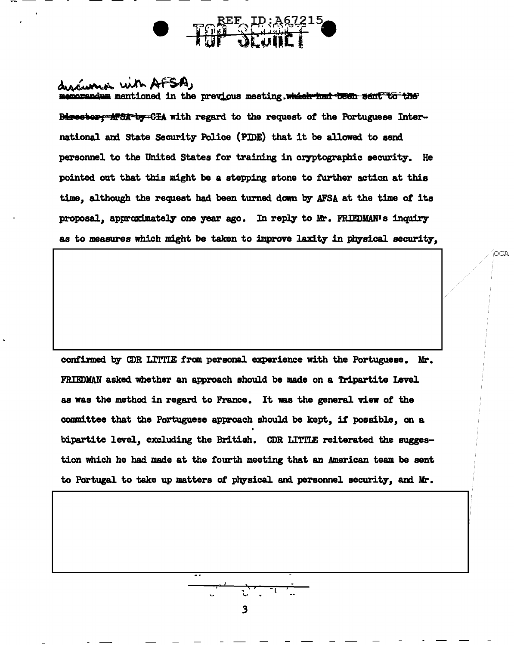CULL With AFSA, mentioned in the previous meeting, which had been sent to the Birector: APSA-by-CIA with regard to the request of the Portuguese International and State Security Police (PIDE) that it be allowed to send personnel to the United States for training in cryptographic security. He pointed out that this might be a stepping stone to further action at this time, although the request had been turned down by AFSA at the time of its proposal, approximately one year ago. In reply to Mr. FRIEDMAN's inquiry as to measures which might be taken to improve laxity in physical security.

.<br>OGA

confirmed. by CDR LlTTIE fran personal experience with the Portuguese. Mr. FRIEDMAN asked whether an approach should be made on a Tripartite Level. as was the method in regard to France. It was the general view of the committee that the Portuguese approach should be kept, it possible, on a bipartite level, excluding the British. CDR LITTLE reiterated the suggestion which he had made at the fourth meeting that an American team be sent to Portugal to take up matters of physical and personnel security, and Mr.

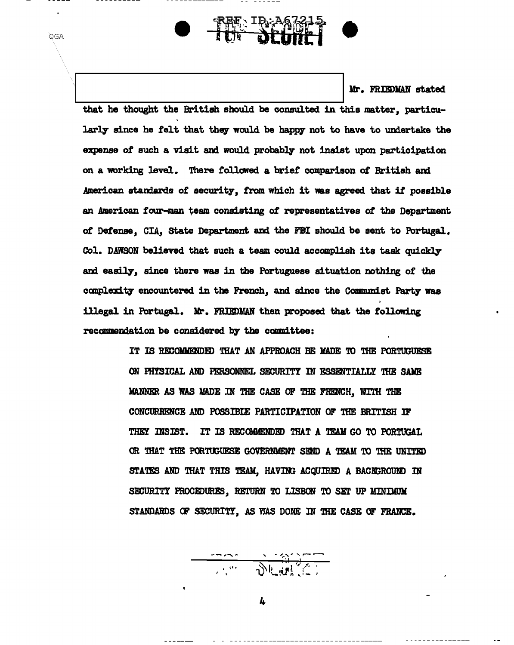Mr. FRIEDMAN stated

that he thought the British should be consulted in this matter, particularly since he felt that they would be happy not to have to undertake the expense of such a visit and would probably not insist upon participation on a working level. There followed a brief comparison of British and American standards of security, from which it was agreed that if possible an American four-man team consisting of representatives of the Department of Defense. CIA. State Department and the FBI should be sent to Portugal. Col. DAWSON believed that such a team could accomplish its task quickly and easily, since there was in the Portuguese situation nothing of the complexity encountered in the French, and since the Communist Party was illegal in Portugal. Mr. FRIEDMAN then proposed that the following recommendation be considered by the committee:

₠░<del>▝</del>₿⋦₳<u>₿</u>₩₩<br><del>₠</del>░▝₽₩₩₩

OGA

IT IS RECOMMENDED THAT AN APPROACH BE MADE TO THE PORTUGUESE ON PHYSICAL AND PERSONNEL SECURITY IN ESSENTIALLY THE SAME MANNER AS WAS MADE IN THE CASE OF THE FRENCH, WITH THE CONCURRENCE AND POSSIBIE PARTICIPATION OF THE BRITISH IF THEY INSIST. IT IS RECOMMENDED THAT A TEAM GO TO PORTUGAL OR THAT THE PORTUGUESE GOVERNMENT SEND A TEAM TO THE UNITED STATES AND THAT THIS TEAM, HAVING ACQUIRED A BACKGROUND IN SECURITY PROCEDURES, RETURN TO LISBON TO SET UP MINIMUM STANDARDS OF SECURITY, AS WAS DONE IN THE CASE OF FRANCE.

 $\frac{1}{\sqrt{2\pi}}\left(\frac{1}{\sqrt{2\pi}}\right)^{2}=\frac{1}{\sqrt{2\pi}}\left(\frac{1}{\sqrt{2\pi}}\right)^{2}=\frac{1}{\sqrt{2\pi}}\left(\frac{1}{\sqrt{2\pi}}\right)^{2}=\frac{1}{\sqrt{2\pi}}\left(\frac{1}{\sqrt{2\pi}}\right)^{2}=\frac{1}{\sqrt{2\pi}}\left(\frac{1}{\sqrt{2\pi}}\right)^{2}=\frac{1}{\sqrt{2\pi}}\left(\frac{1}{\sqrt{2\pi}}\right)^{2}=\frac{1}{\sqrt{2\pi}}\left(\frac{1}{\sqrt{2\pi}}\right$ 

4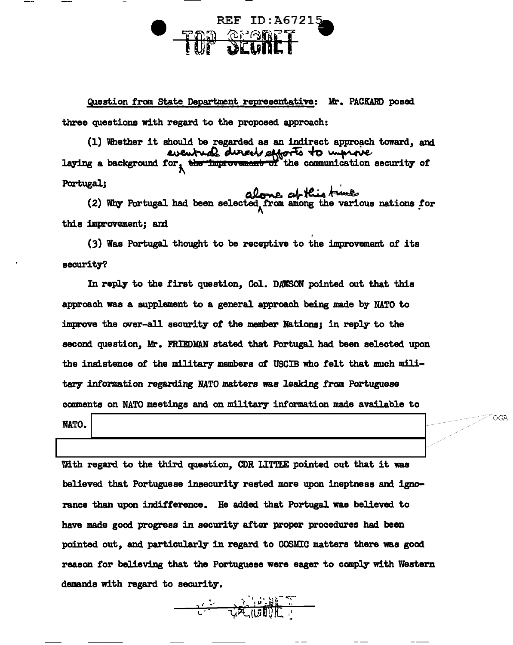## REF ID: A67215 *<b>READER*

Question tran. state Department representative: Mr. PACKARD posed

three questions with regard to the proposed approach:

(1) Whether it should be regarded as an indirect approach toward, and (1) Whether it should be regarded as an indirect approach toward, and<br>
eventual dureable phorts to unprove.<br>
laying a background for, the improvement of the communication security of

Portugal;<br>(2) Why Portugal had been selected from among the various nations for

this improvement; and  $(3)$  Was Portugal thought to be receptive to the improvement of its security?

In reply to the first question, Col. DAWSON pointed out that this approach was a supplement to a general approach being made by NATO to improve the over-all security of the member Nations; in reply to the second question, Mr. FRIEDMAN stated that Portugal had been selected upon the insistence of the military members ot USCIB who felt that much military information regarding NATO matters was leaking from Portuguese comments on NATO meetings and on military information made available to

NATO.

OGA

With regard to the third question, CDR LITTLE pointed out that it was believed. that Portuguese insecurity rested more upon ineptness and ignorance than upon indifference. He added that Portugal was believed to have made good progress in security after proper procedures had been pointed out, and particularly in regard to COSMIC matters there was good reason for believing that the Portuguese were eager to comply with Western demands with regard to security. .  $\frac{1}{2}$ 

*r* ' .I 1 I '\ ~ ,.\_ ~:-'" <sup>~</sup>? I ll •~Pi "

 $\overline{\mathsf{c}}$  '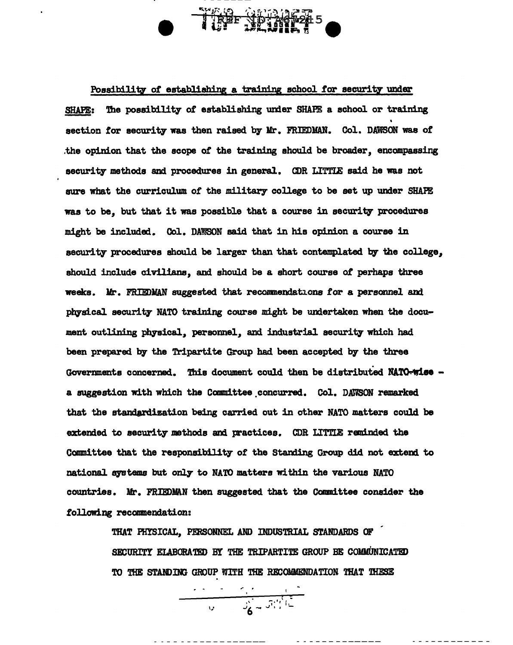## TREF TO THE

Possibility of establishing a training school for security under SHAPE: The possibility of establishing under SHAPE a school or training section for security was then raised by Mr. FRIEDMAN. Col. DAWSON was of the opinion that the scope of the training should be broader, encompassing security methods and procedures in general. CDR LITTLE said he was not sure what the curriculum of the military college to be set up under SHAPE was to be, but that it was possible that a course in security procedures might be included. Col. DAWSON said that in his opinion a course in security procedures should be larger than that contemplated by the college, should include civilians, and should be a short course of perhaps three weeks. Mr. FRIEDMAN suggested that recommendations for a personnel and physical security NATO training course might be undertaken when the document outlining physical, personnel, and industrial security which had been prepared by the Tripartite Group had been accepted by the three Governments concerned. This document could then be distributed NATO-wise a suggestion with which the Committee concurred. Col. DAWSON remarked that the standardization being carried out in other NATO matters could be extended to security methods and practices. CDR LITTLE reminded the Committee that the responsibility of the Standing Group did not extend to national systems but only to NATO matters within the various NATO countries. Mr. FRIEDMAN then suggested that the Committee consider the following recommendation:

> THAT PHYSICAL, PERSONNEL AND INDUSTRIAL STANDARDS OF SECURITY ELABORATED BY THE TRIPARTITE GROUP BE COMMUNICATED TO THE STANDING GROUP WITH THE RECOMMENDATION THAT THESE

 $\frac{1}{\sqrt{1-\frac{1}{2}}}\left[\frac{1}{\sqrt{1-\frac{1}{2}}}\frac{1}{\sqrt{1-\frac{1}{2}}}\frac{1}{\sqrt{1-\frac{1}{2}}}\frac{1}{\sqrt{1-\frac{1}{2}}}\frac{1}{\sqrt{1-\frac{1}{2}}}\frac{1}{\sqrt{1-\frac{1}{2}}}\frac{1}{\sqrt{1-\frac{1}{2}}}\frac{1}{\sqrt{1-\frac{1}{2}}}\frac{1}{\sqrt{1-\frac{1}{2}}}\frac{1}{\sqrt{1-\frac{1}{2}}}\frac{1}{\sqrt{1-\frac{1}{2}}}\frac{1}{\sqrt{1-\frac{1}{2}}}\frac{1}{\sqrt{1-\$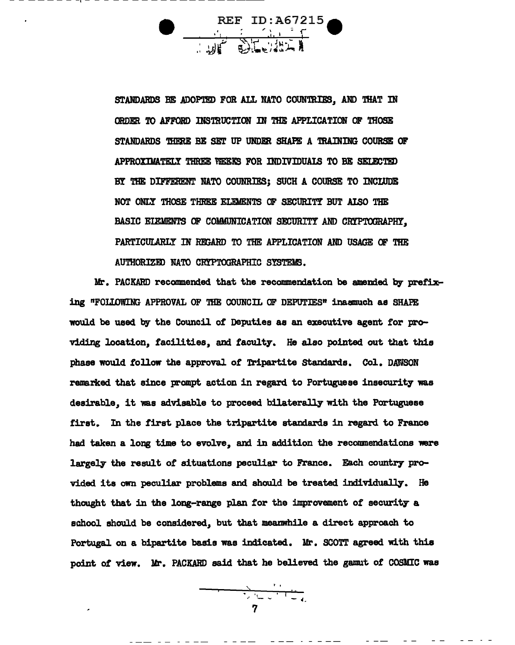REF ID:A67215

STANDARDS BE ADOPTED FOR ALL NATO COUNTRIES, AND THAT IN ORDER TO AFFORD INSTRUCTION IN THE APPLICATION OF THOSE STANDARDS THERE BE SET UP UNDER SHAPE A TRAINING COURSE OF APPROXIMATELY THREE VEEKS FOR INDIVIDUALS TO BE SELECTED BY THE DIFFERENT NATO COUNRIES; SUCH A COURSE TO INCLUDE NOT ONLY THOSE THREE ELEMENTS OF SECURITY BUT ALSO THE BASIC ELEMENTS OF COMMUNICATION SECURITY AND CRYPTOGRAPHY, PARTICULARLY IN REGARD TO THE APPLICATION AND USAGE OF THE AUTHORIZED NATO CRYPTOGRAPHIC SYSTEMS.

Mr. PACKARD recommended that the recommendation be amended by prefixing "FOLLOWING APPROVAL OF THE COUNCIL OF DEPUTIES" inasmuch as SHAPE would be used by the Council of Deputies as an executive agent for providing location, facilities, and faculty. He also pointed out that this phase would follow the approval of Tripartite Standards. Col. DAWSON remarked that since prompt action in regard to Portuguese insecurity was desirable, it was advisable to proceed bilaterally with the Portuguese first. In the first place the tripartite standards in regard to France had taken a long time to evolve, and in addition the recommendations were largely the result of situations peculiar to France. Each country provided its own peculiar problems and should be treated individually. He thought that in the long-range plan for the improvement of security a school should be considered, but that meanwhile a direct approach to Portugal on a bipartite basis was indicated. Mr. SCOTT agreed with this point of view. Mr. PACKARD said that he believed the gamut of COSMIC was

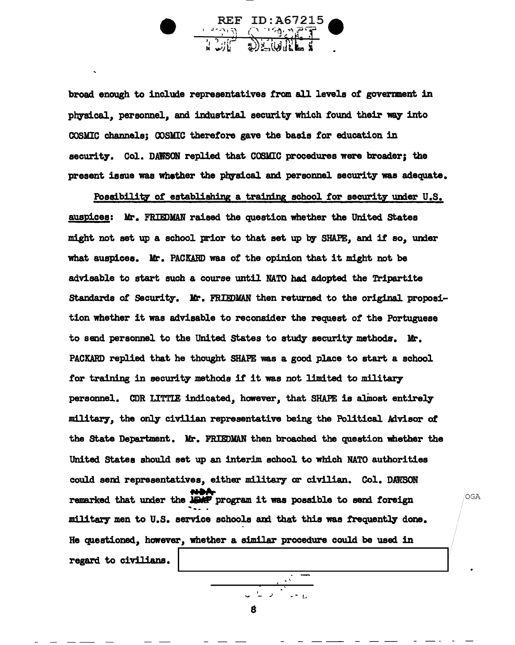

broad enough to include representatives from all levels of government in physical, personnel, and industrial security which found their way into COSMIC channels; OOSMIC therefore gave the basis *tor* education in security. Col. DAWSON replied that COSMIC procedures were broader; the present issue was whether the physical and personnel security was adequate.

Possibility of establishing a training school for security under U.S. auspices: Mr. FRIEDMAN raised the question whether the United States might not set up a school prior to that set up by SHAPE, and if so, under what auspices. Mr. PACKARD was of the opinion that it might not be advisable to start such a course until NATO had adopted the Tripartite Standards of Security. Mr. FRIEDMAN then returned to the original proposition whether it was advisable to reconsider the request *ot* the Portuguese to send personnel to the United States to study security methods. Mr. PACKARD replied that he thought SHAPE was a good place to start a school for training in security methods *it* it was not limited to military personnel. CDR LITTIE indicated, however, that SHAPE is almost entirely military, the only civilian representative being the Political Advisor of the state Department. Mr. FRIEDMAN then broached the question whether the United States should set up an interim school to which NATO authorities could send representatives, either military or civilian. Col. DAWSON remarked that under the JDAP program it was possible to send foreign - military men to U.S. service schools and that this was frequently done. He questioned., hawever, whether a similar procedure could be used in regard to civilians.

8

. <u>' الكوني الي ال</u>ي المعاشرة التي تعاشر المعاشرة التي تعاشر المعاشرة التي تعاشر المعاشرة التي تعاشر المعاشرة<br>المعاشرة التي تعاشر المعاشرة التي تعاشر المعاشرة التي تعاشر المعاشرة التي تعاشر المعاشرة التي تعاشر المعاشرة ا<br>

OGA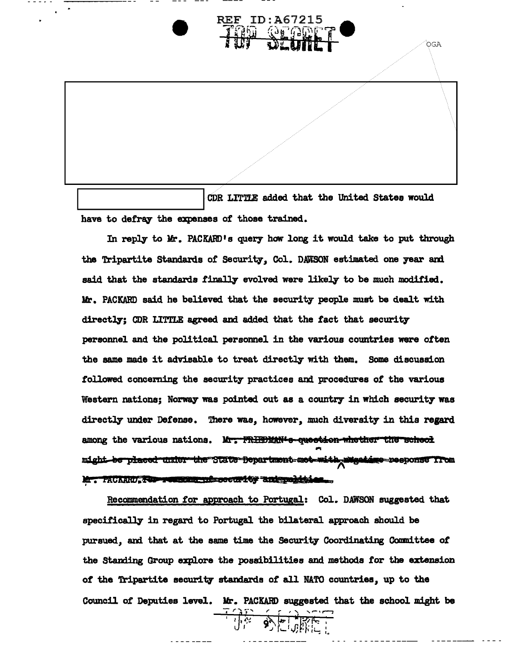## **REF ID:A67215**

OGA

CDR LITTLE added that the United States would have to defray the expenses of those trained.

In reply to Mr. PACKARD's query how long it would take to put through the Tripartite Standards of Security, Col. DAWSON estimated one year ani said that the standards finally evolved were likely to be much modified. Mr. PACKARD said he believed that the security people must be dealt with directly; CDR LITTLE agreed and added that the fact that security personnel and the political personnel in the various countries were often the same made it advisable to treat directly with them. Some discussion followed concerning the security practices and procedures *ot* the various Western nations; Norway was pointed out as a country in which security was directly under Defense. There was, however, much diversity in this regard among the various nations. Mr. FRHEDMAN-s-queetion-whether the scheel might be placed under the State Bepartment met with mugatime response from Mr. PACARIU, <del>TOP : 442000 ... ..</del>. .. .. 114 214 pe diti

Recommendation for approach to Portugal: Col. DAWSON suggested that specifically in regard to Portugal. the bilateral approach should be pursued., and that at the same time the Security Coordinating Conmittee of the Standing Group explore the possibilities and methods for the extension of the Tripartite security standards of all NATO countries, up to the Council *ot* Deputies level. Mi-. PACKAHD suggested that the school might be

- 大学 国家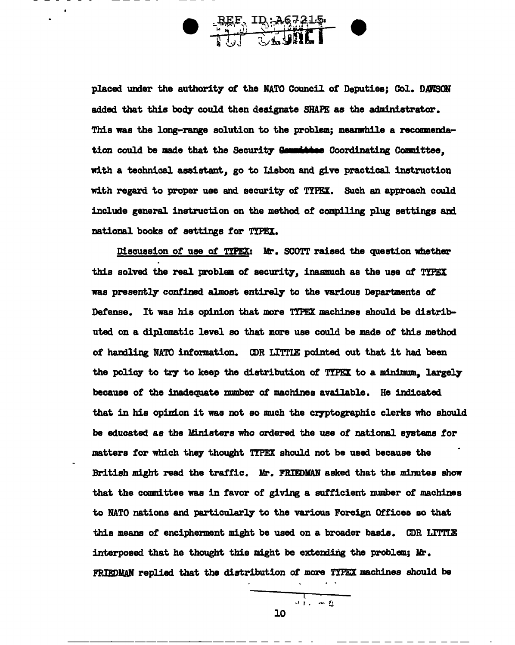

placed under the authority or the NATO Council or Deputies; Col. DAWSON added that this body could then designate SHAPE as the administrator. This was the long-range solution to the problem; meanwhile a recommendation could be made that the Security Gaunities Coordinating Committee. with a technical assistant, go to Lisbon and give practical instruction with regard to proper use and security of **TIPEX**. Such an approach could include general instruction on the method of compiling plug settings am national books or settings *tor* TIPEX.

Discussion *ot* use *ot* 'l'IPEX: Mr. SCOTT raised the question whether this solved the real problem of security, inasmuch as the use of TYPEX was presently confined almost entirely to the various Departments of Defense. It was his opinion that more TYPEX machines should be distributed on a diplomatic level so that more use could be made of this method of handling NATO information. ODR LITTLE pointed out that it had been the policy to try to keep the distribution of TYPEX to a minimum, largely because *ot* the inadequate rmmber of machines available. He indicated that in his opinion it was not so much the cryptographic clerks who should be educated as the Ministers who ordered the use of national systems for matters for which they thought TYPEX should not be used because the British might read the traffic. Mr. FRIEDMAN asked that the minutes show that the committee was in favor of giving a sufficient number of machines to NATO nations and particularly to the various Foreign Offices so that this means of encipherment might be used on a broader basis. CDR LITTLE interposed that he thought this might be extending the problem; Mr. FRIEDMAN replied that the distribution of more TYPEX machines should be

 $\frac{1}{\sqrt{1+\frac{1}{2}}}\frac{1}{\sqrt{1+\frac{1}{2}}}\frac{1}{\sqrt{1+\frac{1}{2}}}\frac{1}{\sqrt{1+\frac{1}{2}}}\frac{1}{\sqrt{1+\frac{1}{2}}}\frac{1}{\sqrt{1+\frac{1}{2}}}\frac{1}{\sqrt{1+\frac{1}{2}}}\frac{1}{\sqrt{1+\frac{1}{2}}}\frac{1}{\sqrt{1+\frac{1}{2}}}\frac{1}{\sqrt{1+\frac{1}{2}}}\frac{1}{\sqrt{1+\frac{1}{2}}}\frac{1}{\sqrt{1+\frac{1}{2}}}\frac{1}{\sqrt{1+\frac{1}{2}}}\frac{1}{\sqrt{1+\frac{$ 10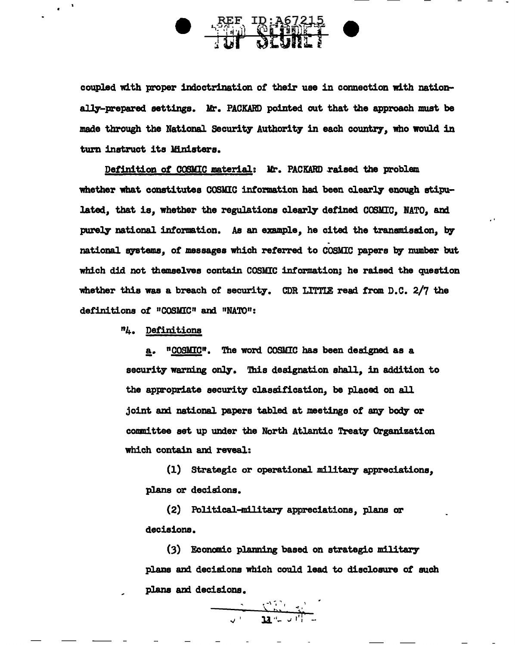

coupled with proper indoctrination of their use in connection with nation ally-prepared settings. Mr. PACKARD pointed out that the approach must be made through the National Security Authority in each country, who would in turn instruct its Ministers.

Definition of COSMIC material: Mr. PACKARD raised the problem whether what constitutes COSMIC information had been clearly enough stipulated, that is, whether the regulations clearly defined COSMIC, NATO, and purely national information. As an example, he cited the transmission, by . national systems, of messages which referred to COSMIC papers by number but which did not themselves contain COSMIC intormation; he raised the question whether this was a breach of security. CDR LITTLE read from D.C.  $2/7$  the definitions of "COSMIC" and "NATO":

. '

n4. Definitions

a. "COSMIC". The word COSMIC has been designed as a security warning only. This designation shall, in addition to the appropriate security classitication, be placed on all joint and national papers tabled at meetings of any body or committee set up under the North Atlantic Treaty Organization which contain and reveal:

 $(1)$  Strategic or operational military appreciations, plans or decisions.

(2) Political-military appreciations, plans or decisions.

(3) Econanic planning based on strategic military plans and decisions which could lead to disclosure *ot* such plans and decisions.

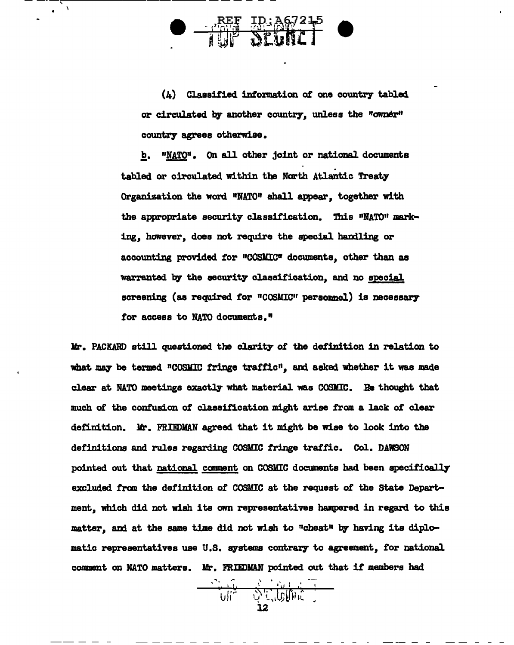$\frac{1}{4}$ 

(4) Classified information of one country tabled or circulated by another country, unless the "owner" country agrees otherwise.

b. "NATO". On all other joint or national documents<br>tabled or circulated within the North Atlantic Treaty Organization the word "NATO" shall appear, together with the appropriate security classification. This "NATO" marking, however, does not require the special handling or accounting provided for "COSMIC" documents, other than as warranted by the security classification, and no special screening (as required for "COSMIC" personnel) is necessary for access to NATO documents."

Mr. PACKARD still questioned the clarity of the definition in relation to what may be termed "COSMIC fringe traffic", and asked whether it was made clear at NATO meetings exactly what material was COSMIC. Be thought that much of the confusion of classification might arise from a lack of clear definition. Mr. FRIEDMAN agreed that it might be wise to look into the definitions and rules regarding COSMIC fringe traffic. Co1. DAWSON pointed out that national comment on COSMIC documents had been specifically excluded fran the definition of COSMIC at the request of the State Department, which did not wish its own representatives hampered in regard to this matter, and at the same time did not wish to "cheat" by having its diplomatic representatives use U.S. systems contrary to agreement, for national comment on NATO matters. Mr. FRIEDMAN pointed out that if members had . ... . • !1

 $\sum_{i=1}^N \gamma_{i+1}^2 \gamma_{i+1}^2 \gamma_{i+1}^2$ 

 $\overline{\text{u}}$